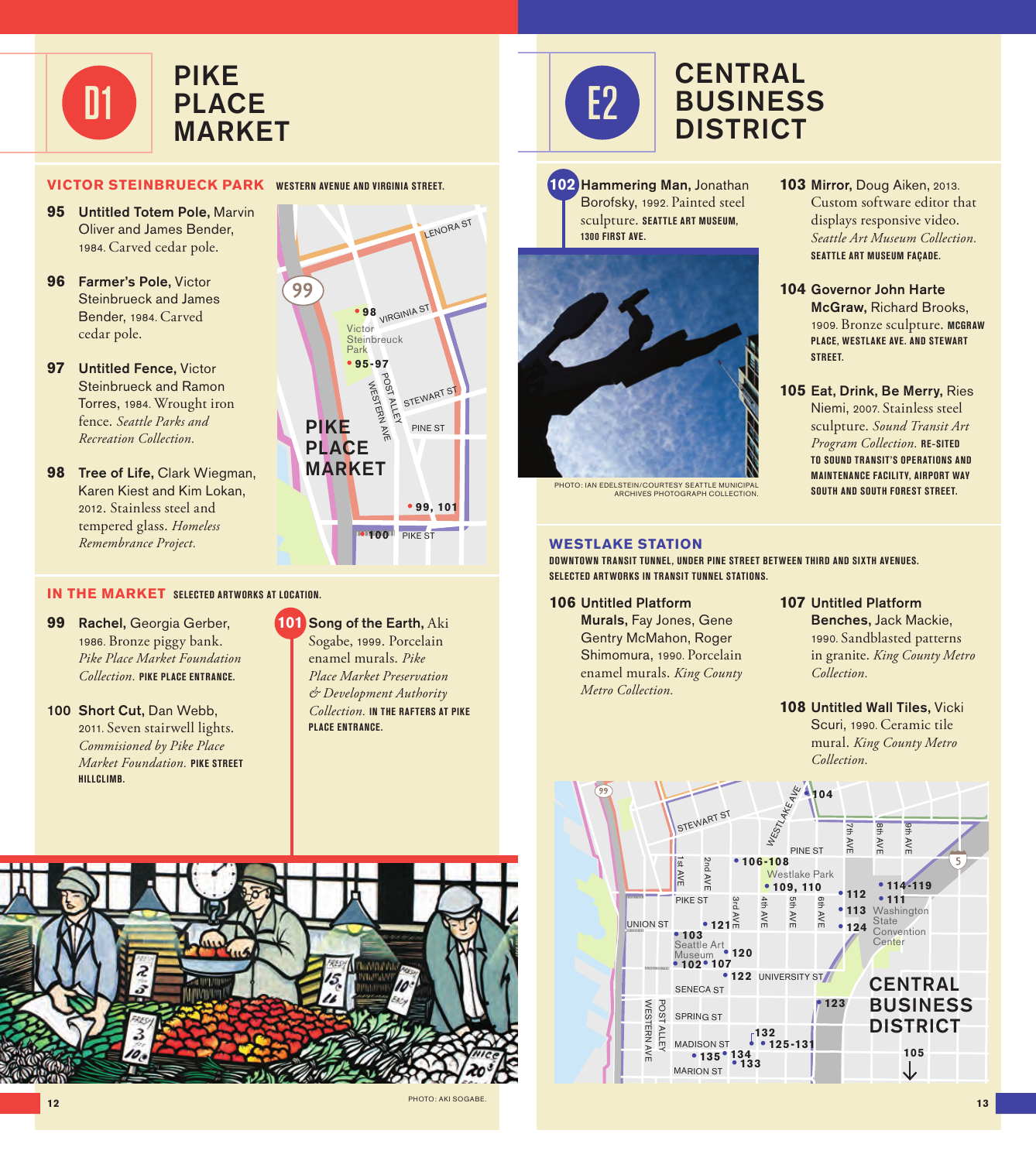

## **VICTOR STEINBRUECK PARK WESTERN AVENUE AND VIRGINIA STREET.**

- **95** Untitled Totem Pole, Marvin Oliver and James Bender, 1984. Carved cedar pole.
- **96** Farmer's Pole, Victor Steinbrueck and James Bender, 1984. Carved cedar pole.
- **97** Untitled Fence, Victor Steinbrueck and Ramon Torres, 1984. Wrought iron fence. *Seattle Parks and Recreation Collection.*
- **98** Tree of Life, Clark Wiegman, Karen Kiest and Kim Lokan, 2012. Stainless steel and tempered glass. *Homeless Remembrance Project.*

## **IN THE MARKET SELECTED ARTWORKS AT LOCATION.**

- **99** Rachel, Georgia Gerber, 1986. Bronze piggy bank. *Pike Place Market Foundation Collection.* **PIKE PLACE ENTRANCE.**
- 100 Short Cut, Dan Webb, 2011. Seven stairwell lights. *Commisioned by Pike Place Market Foundation.* **PIKE STREET HILLCLIMB.**



# **101** Song of the Earth, Aki Sogabe, 1999. Porcelain

enamel murals. *Pike Place Market Preservation & Development Authority Collection.* **IN THE RAFTERS AT PIKE PLACE ENTRANCE.**





# **CENTRAL** BUSINESS **DISTRICT**

**102** Hammering Man, Jonathan Borofsky, 1992. Painted steel sculpture. **SEATTLE ART MUSEUM, 1300 FIRST AVE.**



PHOTO: IAN EDELSTEIN/COURTESY SEATTLE MUNICIPAL ARCHIVES PHOTOGRAPH COLLECTION.

### **WESTLAKE STATION**

**DOWNTOWN TRANSIT TUNNEL, UNDER PINE STREET BETWEEN THIRD AND SIXTH AVENUES. SELECTED ARTWORKS IN TRANSIT TUNNEL STATIONS.**

#### **106** Untitled Platform

Murals, Fay Jones, Gene Gentry McMahon, Roger Shimomura, 1990. Porcelain enamel murals. *King County Metro Collection.* 

- **103** Mirror, Doug Aiken, 2013. Custom software editor that displays responsive video. *Seattle Art Museum Collection.* **SEATTLE ART MUSEUM FAÇADE.**
- **104** Governor John Harte McGraw, Richard Brooks, 1909. Bronze sculpture. **MCGRAW PLACE, WESTLAKE AVE. AND STEWART STREET.**
- **105** Eat, Drink, Be Merry, Ries Niemi, 2007. Stainless steel sculpture. *Sound Transit Art Program Collection.* **RE-SITED TO SOUND TRANSIT'S OPERATIONS AND MAINTENANCE FACILITY, AIRPORT WAY SOUTH AND SOUTH FOREST STREET.**

## **107** Untitled Platform Benches, Jack Mackie, 1990. Sandblasted patterns in granite. *King County Metro Collection.*

**108** Untitled Wall Tiles, Vicki Scuri, 1990. Ceramic tile mural. *King County Metro Collection.*